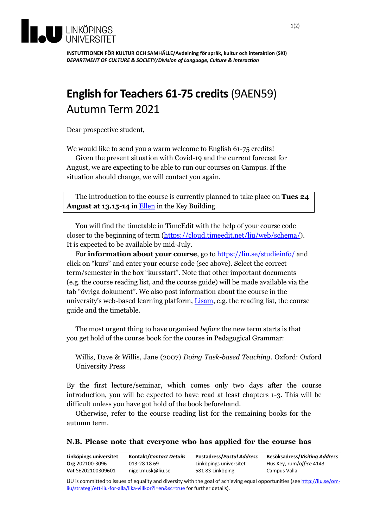

**INSTUTITIONEN FÖR KULTUR OCH SAMHÄLLE/Avdelning för språk, kultur och interaktion (SKI)** *DEPARTMENT OF CULTURE & SOCIETY/Division of Language, Culture & Interaction*

## **English for Teachers 61-75 credits** (9AEN59) Autumn Term 2021

Dear prospective student,

We would like to send you a warm welcome to English 61-75 credits!

Given the present situation with Covid-19 and the current forecast for August, we are expecting to be able to run our courses on Campus. If the situation should change, we will contact you again.

The introduction to the course is currently planned to take place on **Tues 24 August at 13.15-14** in [Ellen](https://old.liu.se/NavApp/faces/popup.jsp?object_type=location&object_id=797) in the Key Building.

You will find the timetable in TimeEdit with the help of your course code closer to the beginning of term [\(https://cloud.timeedit.net/liu/web/schema/\)](https://cloud.timeedit.net/liu/web/schema/). It is expected to be available by mid-July.

For **information about your course**, go to **https://liu.se/studieinfo/** and click on "kurs" and enter your course code (see above). Select the correct term/semester in the box "kursstart". Note that other important documents (e.g. the course reading list, and the course guide) will be made available via the tab "övriga dokument". We also post information about the course in the university's web-based learning platform, [Lisam,](https://liuonline.sharepoint.com/sites/Lisam_9AEN59_2021HT_XA) e.g. the reading list, the course guide and the timetable.

The most urgent thing to have organised *before* the new term starts is that you get hold of the course book for the course in Pedagogical Grammar:

Willis, Dave & Willis, Jane (2007) *Doing Task-based Teaching*. Oxford: Oxford University Press

By the first lecture/seminar, which comes only two days after the course introduction, you will be expected to have read at least chapters 1-3. This will be difficult unless you have got hold of the book beforehand.

Otherwise, refer to the course reading list for the remaining books for the autumn term.

|  |  |  |  | N.B. Please note that everyone who has applied for the course has |  |  |  |  |  |  |  |  |
|--|--|--|--|-------------------------------------------------------------------|--|--|--|--|--|--|--|--|
|--|--|--|--|-------------------------------------------------------------------|--|--|--|--|--|--|--|--|

| <b>Kontakt/Contact Details</b> | <b>Postadress/Postal Address</b> | Besöksadress/Visiting Address              |
|--------------------------------|----------------------------------|--------------------------------------------|
| 013-28 18 69                   |                                  | Hus Key, rum/office 4143                   |
| nigel.musk@liu.se              |                                  | Campus Valla                               |
|                                |                                  | Linköpings universitet<br>581 83 Linköping |

LiU is committed to issues of equality and diversity with the goal of achieving equal opportunities (see [http://liu.se/om](http://liu.se/om-liu/strategi/ett-liu-for-alla/lika-villkor?l=en&sc=true)[liu/strategi/ett-liu-for-alla/lika-villkor?l=en&sc=true](http://liu.se/om-liu/strategi/ett-liu-for-alla/lika-villkor?l=en&sc=true) for further details).